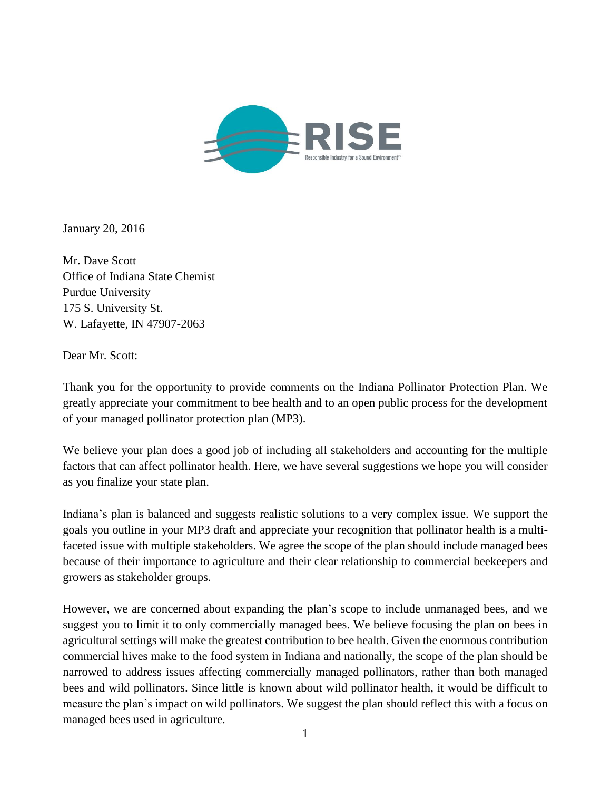

January 20, 2016

Mr. Dave Scott Office of Indiana State Chemist Purdue University 175 S. University St. W. Lafayette, IN 47907-2063

Dear Mr. Scott:

Thank you for the opportunity to provide comments on the Indiana Pollinator Protection Plan. We greatly appreciate your commitment to bee health and to an open public process for the development of your managed pollinator protection plan (MP3).

We believe your plan does a good job of including all stakeholders and accounting for the multiple factors that can affect pollinator health. Here, we have several suggestions we hope you will consider as you finalize your state plan.

Indiana's plan is balanced and suggests realistic solutions to a very complex issue. We support the goals you outline in your MP3 draft and appreciate your recognition that pollinator health is a multifaceted issue with multiple stakeholders. We agree the scope of the plan should include managed bees because of their importance to agriculture and their clear relationship to commercial beekeepers and growers as stakeholder groups.

However, we are concerned about expanding the plan's scope to include unmanaged bees, and we suggest you to limit it to only commercially managed bees. We believe focusing the plan on bees in agricultural settings will make the greatest contribution to bee health. Given the enormous contribution commercial hives make to the food system in Indiana and nationally, the scope of the plan should be narrowed to address issues affecting commercially managed pollinators, rather than both managed bees and wild pollinators. Since little is known about wild pollinator health, it would be difficult to measure the plan's impact on wild pollinators. We suggest the plan should reflect this with a focus on managed bees used in agriculture.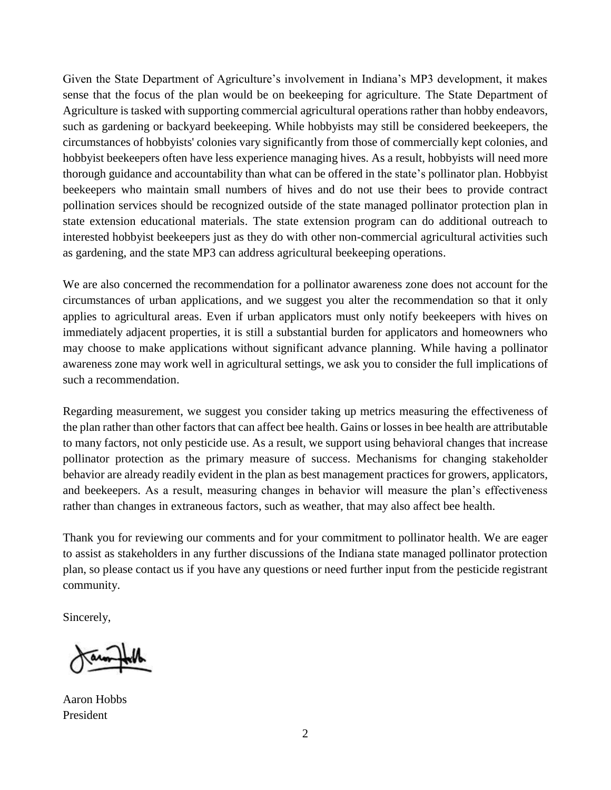Given the State Department of Agriculture's involvement in Indiana's MP3 development, it makes sense that the focus of the plan would be on beekeeping for agriculture. The State Department of Agriculture is tasked with supporting commercial agricultural operations rather than hobby endeavors, such as gardening or backyard beekeeping. While hobbyists may still be considered beekeepers, the circumstances of hobbyists' colonies vary significantly from those of commercially kept colonies, and hobbyist beekeepers often have less experience managing hives. As a result, hobbyists will need more thorough guidance and accountability than what can be offered in the state's pollinator plan. Hobbyist beekeepers who maintain small numbers of hives and do not use their bees to provide contract pollination services should be recognized outside of the state managed pollinator protection plan in state extension educational materials. The state extension program can do additional outreach to interested hobbyist beekeepers just as they do with other non-commercial agricultural activities such as gardening, and the state MP3 can address agricultural beekeeping operations.

We are also concerned the recommendation for a pollinator awareness zone does not account for the circumstances of urban applications, and we suggest you alter the recommendation so that it only applies to agricultural areas. Even if urban applicators must only notify beekeepers with hives on immediately adjacent properties, it is still a substantial burden for applicators and homeowners who may choose to make applications without significant advance planning. While having a pollinator awareness zone may work well in agricultural settings, we ask you to consider the full implications of such a recommendation.

Regarding measurement, we suggest you consider taking up metrics measuring the effectiveness of the plan rather than other factors that can affect bee health. Gains or losses in bee health are attributable to many factors, not only pesticide use. As a result, we support using behavioral changes that increase pollinator protection as the primary measure of success. Mechanisms for changing stakeholder behavior are already readily evident in the plan as best management practices for growers, applicators, and beekeepers. As a result, measuring changes in behavior will measure the plan's effectiveness rather than changes in extraneous factors, such as weather, that may also affect bee health.

Thank you for reviewing our comments and for your commitment to pollinator health. We are eager to assist as stakeholders in any further discussions of the Indiana state managed pollinator protection plan, so please contact us if you have any questions or need further input from the pesticide registrant community.

Sincerely,

Aaron Hobbs President